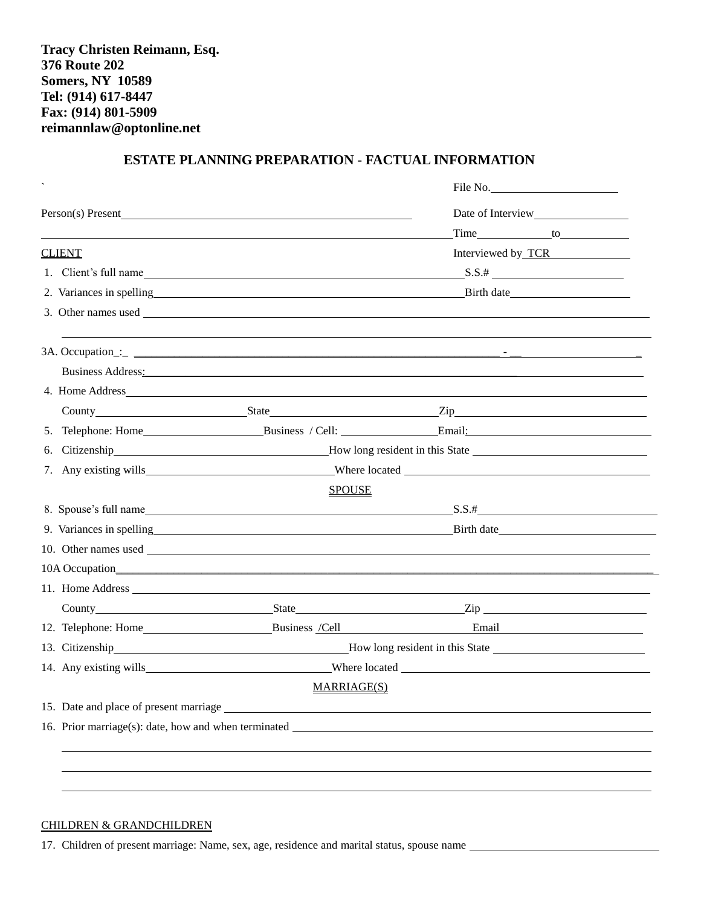# **ESTATE PLANNING PREPARATION - FACTUAL INFORMATION**

|               |                                                                                                                                                                                                                                | File No.                                                                                                                                                                                                                                       |  |
|---------------|--------------------------------------------------------------------------------------------------------------------------------------------------------------------------------------------------------------------------------|------------------------------------------------------------------------------------------------------------------------------------------------------------------------------------------------------------------------------------------------|--|
|               | Person(s) Present                                                                                                                                                                                                              |                                                                                                                                                                                                                                                |  |
|               |                                                                                                                                                                                                                                |                                                                                                                                                                                                                                                |  |
| <b>CLIENT</b> |                                                                                                                                                                                                                                | Interviewed by TCR                                                                                                                                                                                                                             |  |
|               |                                                                                                                                                                                                                                | 1. Client's full name $SS.44$                                                                                                                                                                                                                  |  |
|               |                                                                                                                                                                                                                                | 2. Variances in spelling example and the set of the set of the set of the set of the set of the set of the set of the set of the set of the set of the set of the set of the set of the set of the set of the set of the set o                 |  |
|               |                                                                                                                                                                                                                                | 3. Other names used                                                                                                                                                                                                                            |  |
|               |                                                                                                                                                                                                                                |                                                                                                                                                                                                                                                |  |
|               | Business Address: No. 1996. The Committee of the Committee of the Committee of the Committee of the Committee of the Committee of the Committee of the Committee of the Committee of the Committee of the Committee of the Com |                                                                                                                                                                                                                                                |  |
|               |                                                                                                                                                                                                                                | 4. Home Address_                                                                                                                                                                                                                               |  |
|               |                                                                                                                                                                                                                                |                                                                                                                                                                                                                                                |  |
|               |                                                                                                                                                                                                                                | 5. Telephone: Home Business / Cell: Email: Email:                                                                                                                                                                                              |  |
|               |                                                                                                                                                                                                                                | 6. Citizenship <b>Example 2.1 The Example 2.1 Term</b> How long resident in this State <u><b>Example 2.1 Term</b> 2.1 Term 2.1 Term 2.1 Term 2.1 Term 2.1 Term 2.1 Term 2.1 Term 2.1 Term 2.1 Term 2.1 Term 2.1 Term 2.1 Term 2.1 Term 2.1</u> |  |
|               |                                                                                                                                                                                                                                |                                                                                                                                                                                                                                                |  |
|               | <b>SPOUSE</b>                                                                                                                                                                                                                  |                                                                                                                                                                                                                                                |  |
|               |                                                                                                                                                                                                                                | 8. Spouse's full name subset of the set of the set of the set of the set of the set of the set of the set of the set of the set of the set of the set of the set of the set of the set of the set of the set of the set of the                 |  |
|               |                                                                                                                                                                                                                                | 9. Variances in spelling example and the contract of the contract of the Birth date Birth date Birth date and the contract of the contract of the contract of the contract of the contract of the contract of the contract of                  |  |
|               |                                                                                                                                                                                                                                |                                                                                                                                                                                                                                                |  |
|               |                                                                                                                                                                                                                                |                                                                                                                                                                                                                                                |  |
|               | 11. Home Address _                                                                                                                                                                                                             |                                                                                                                                                                                                                                                |  |
|               |                                                                                                                                                                                                                                | County State Zip                                                                                                                                                                                                                               |  |
|               |                                                                                                                                                                                                                                |                                                                                                                                                                                                                                                |  |
|               |                                                                                                                                                                                                                                | 13. Citizenship <b>Example 2.1 For How long resident in this State</b>                                                                                                                                                                         |  |
|               |                                                                                                                                                                                                                                |                                                                                                                                                                                                                                                |  |
|               | MARRIAGE(S)                                                                                                                                                                                                                    |                                                                                                                                                                                                                                                |  |
|               | 15. Date and place of present marriage                                                                                                                                                                                         |                                                                                                                                                                                                                                                |  |
|               | 16. Prior marriage(s): date, how and when terminated                                                                                                                                                                           |                                                                                                                                                                                                                                                |  |
|               |                                                                                                                                                                                                                                |                                                                                                                                                                                                                                                |  |
|               |                                                                                                                                                                                                                                |                                                                                                                                                                                                                                                |  |
|               |                                                                                                                                                                                                                                |                                                                                                                                                                                                                                                |  |

### CHILDREN & GRANDCHILDREN

17. Children of present marriage: Name, sex, age, residence and marital status, spouse name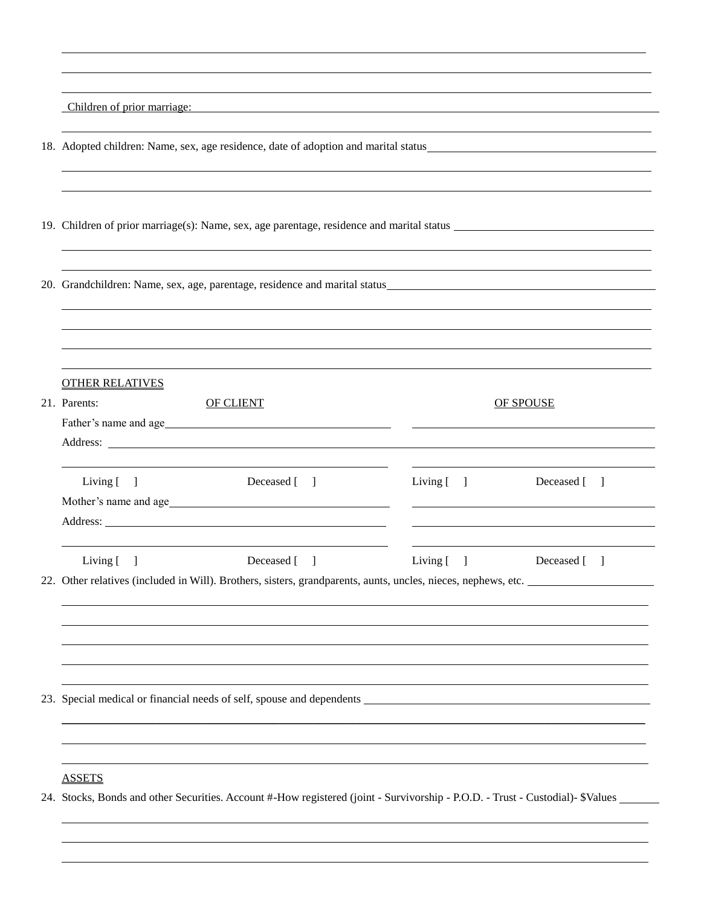|                                                                                     | Children of prior marriage:<br><u> 1989 - Johann Stoff, deutscher Stoff, der Stoff, der Stoff, der Stoff, der Stoff, der Stoff, der Stoff, der S</u>                                                                          |               |                      |  |
|-------------------------------------------------------------------------------------|-------------------------------------------------------------------------------------------------------------------------------------------------------------------------------------------------------------------------------|---------------|----------------------|--|
| 18. Adopted children: Name, sex, age residence, date of adoption and marital status |                                                                                                                                                                                                                               |               |                      |  |
|                                                                                     |                                                                                                                                                                                                                               |               |                      |  |
|                                                                                     | 20. Grandchildren: Name, sex, age, parentage, residence and marital status entertainment and the set of the set of the set of the set of the set of the set of the set of the set of the set of the set of the set of the set |               |                      |  |
|                                                                                     |                                                                                                                                                                                                                               |               |                      |  |
|                                                                                     | <b>OTHER RELATIVES</b><br>21. Parents:<br><b>OF CLIENT</b>                                                                                                                                                                    |               | <b>OF SPOUSE</b>     |  |
|                                                                                     | Living $[ ]$<br>Deceased [ ]                                                                                                                                                                                                  | Living $[\ ]$ | Deceased [ ]         |  |
|                                                                                     | Living $[ ]$<br>Deceased [ ]<br>22. Other relatives (included in Will). Brothers, sisters, grandparents, aunts, uncles, nieces, nephews, etc.                                                                                 | Living $[ ]$  | Deceased [<br>$\Box$ |  |
|                                                                                     |                                                                                                                                                                                                                               |               |                      |  |
|                                                                                     |                                                                                                                                                                                                                               |               |                      |  |
|                                                                                     | <b>ASSETS</b><br>24. Stocks, Bonds and other Securities. Account #-How registered (joint - Survivorship - P.O.D. - Trust - Custodial)- \$Values                                                                               |               |                      |  |

l

l l l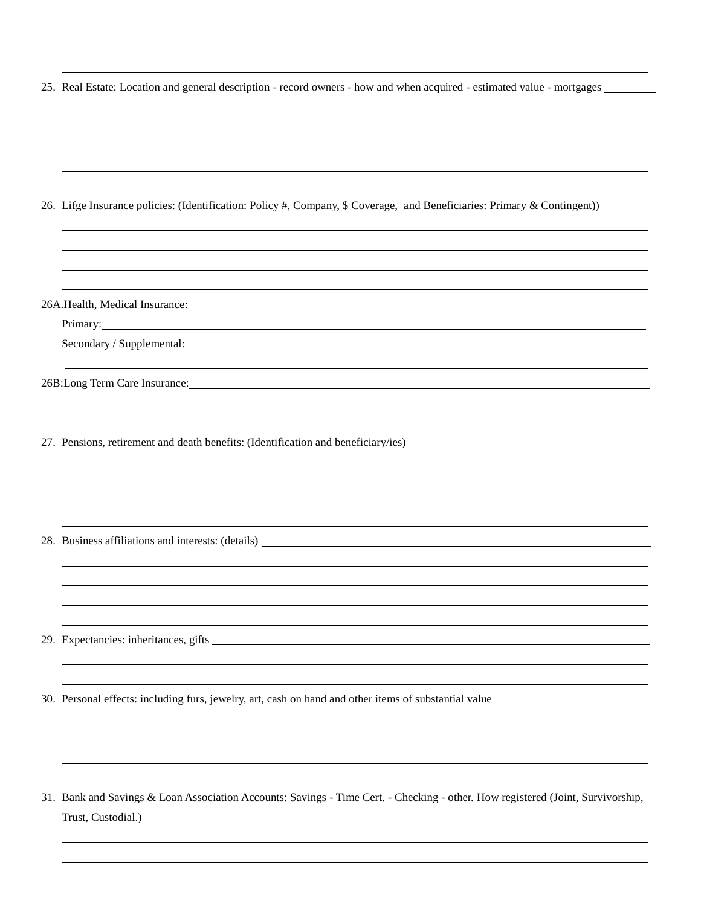| 25. Real Estate: Location and general description - record owners - how and when acquired - estimated value - mortgages                                                                                                        |
|--------------------------------------------------------------------------------------------------------------------------------------------------------------------------------------------------------------------------------|
|                                                                                                                                                                                                                                |
|                                                                                                                                                                                                                                |
|                                                                                                                                                                                                                                |
| 26. Lifge Insurance policies: (Identification: Policy #, Company, \$ Coverage, and Beneficiaries: Primary & Contingent))                                                                                                       |
|                                                                                                                                                                                                                                |
|                                                                                                                                                                                                                                |
| 26A.Health, Medical Insurance:                                                                                                                                                                                                 |
| Secondary / Supplemental: University of the secondary of the secondary of the secondary of the secondary of the secondary of the secondary of the secondary of the secondary of the secondary of the secondary of the secondar |
|                                                                                                                                                                                                                                |
|                                                                                                                                                                                                                                |
| 27. Pensions, retirement and death benefits: (Identification and beneficiary/ies)                                                                                                                                              |
|                                                                                                                                                                                                                                |
|                                                                                                                                                                                                                                |
|                                                                                                                                                                                                                                |
|                                                                                                                                                                                                                                |
|                                                                                                                                                                                                                                |
|                                                                                                                                                                                                                                |
|                                                                                                                                                                                                                                |
| 30. Personal effects: including furs, jewelry, art, cash on hand and other items of substantial value                                                                                                                          |
|                                                                                                                                                                                                                                |
|                                                                                                                                                                                                                                |
| 31. Bank and Savings & Loan Association Accounts: Savings - Time Cert. - Checking - other. How registered (Joint, Survivorship,                                                                                                |
| Trust, Custodial.) No. 2014 19:30 19:30 19:30 19:30 19:30 19:30 19:30 19:30 19:30 19:30 19:30 19:30 19:30 19:30 19:30 19:30 19:30 19:30 19:30 19:30 19:30 19:30 19:30 19:30 19:30 19:30 19:30 19:30 19:30 19:30 19:30 19:30 19 |

l

l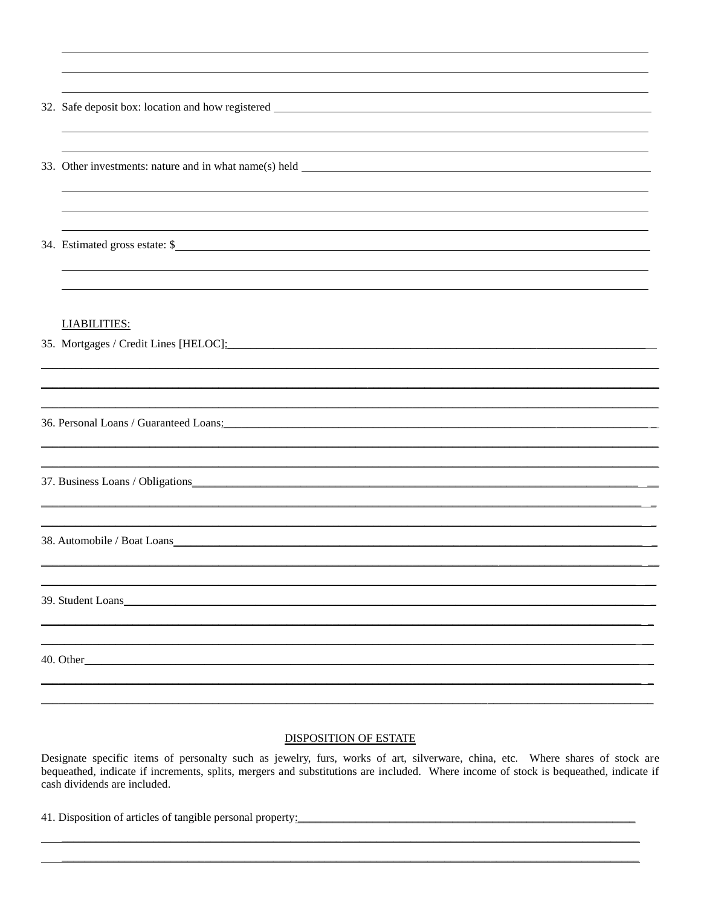| 34. Estimated gross estate: \$                                              |
|-----------------------------------------------------------------------------|
| <b>LIABILITIES:</b><br>35. Mortgages / Credit Lines [HELOC]: 2020 2020 2021 |
|                                                                             |
|                                                                             |
|                                                                             |
| 38. Automobile / Boat Loans                                                 |
| 39. Student Loans                                                           |
| 40. Other_                                                                  |
|                                                                             |

#### **DISPOSITION OF ESTATE**

Designate specific items of personalty such as jewelry, furs, works of art, silverware, china, etc. Where shares of stock are bequeathed, indicate if increments, splits, mergers and substitutions are included. Where income cash dividends are included.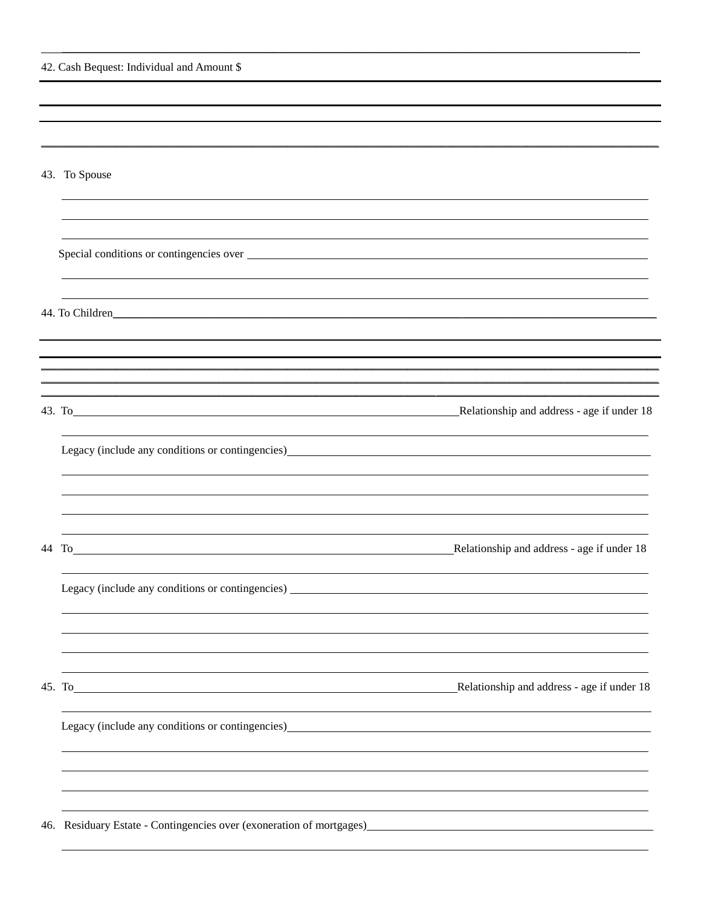| 42. Cash Bequest: Individual and Amount \$                                                                                                                                                                                                                                                                                                                                                                                     |                                            |
|--------------------------------------------------------------------------------------------------------------------------------------------------------------------------------------------------------------------------------------------------------------------------------------------------------------------------------------------------------------------------------------------------------------------------------|--------------------------------------------|
|                                                                                                                                                                                                                                                                                                                                                                                                                                |                                            |
|                                                                                                                                                                                                                                                                                                                                                                                                                                |                                            |
|                                                                                                                                                                                                                                                                                                                                                                                                                                |                                            |
| 43. To Spouse                                                                                                                                                                                                                                                                                                                                                                                                                  |                                            |
|                                                                                                                                                                                                                                                                                                                                                                                                                                |                                            |
| Special conditions or contingencies over                                                                                                                                                                                                                                                                                                                                                                                       |                                            |
| 44. To Children Management and The Children Management and The Children Management and The Children Management and The Children Management and The Children Management and The Children Management and The Children Management                                                                                                                                                                                                 |                                            |
|                                                                                                                                                                                                                                                                                                                                                                                                                                |                                            |
|                                                                                                                                                                                                                                                                                                                                                                                                                                |                                            |
| 43. To Relationship and address - age if under 18                                                                                                                                                                                                                                                                                                                                                                              |                                            |
| Legacy (include any conditions or contingencies)<br><u>Legacy</u> (include any conditions or contingencies)                                                                                                                                                                                                                                                                                                                    |                                            |
|                                                                                                                                                                                                                                                                                                                                                                                                                                |                                            |
|                                                                                                                                                                                                                                                                                                                                                                                                                                |                                            |
| $\frac{44 \text{ To}}{24 \text{ to } 24 \text{ to } 24 \text{ to } 24 \text{ to } 24 \text{ to } 24 \text{ to } 24 \text{ to } 24 \text{ to } 24 \text{ to } 24 \text{ to } 24 \text{ to } 24 \text{ to } 24 \text{ to } 24 \text{ to } 24 \text{ to } 24 \text{ to } 24 \text{ to } 24 \text{ to } 24 \text{ to } 24 \text{ to } 24 \text{ to } 24 \text{ to } 24 \text{ to } 24 \text{ to } 24 \text{ to } 24 \text{ to } 2$ | Relationship and address - age if under 18 |
| Legacy (include any conditions or contingencies)                                                                                                                                                                                                                                                                                                                                                                               |                                            |
|                                                                                                                                                                                                                                                                                                                                                                                                                                |                                            |
|                                                                                                                                                                                                                                                                                                                                                                                                                                |                                            |
| 45. To <u>contract the set of the set of the set of the set of the set of the set of the set of the set of the set of the set of the set of the set of the set of the set of the set of the set of the set of the set of the set</u>                                                                                                                                                                                           | Relationship and address - age if under 18 |
| Legacy (include any conditions or contingencies)<br><u>Legacy</u> (include any conditions or contingencies)                                                                                                                                                                                                                                                                                                                    |                                            |
|                                                                                                                                                                                                                                                                                                                                                                                                                                |                                            |
|                                                                                                                                                                                                                                                                                                                                                                                                                                |                                            |
|                                                                                                                                                                                                                                                                                                                                                                                                                                |                                            |

\_\_\_\_\_\_\_\_\_\_\_\_\_\_\_\_\_\_\_\_\_\_\_\_\_\_\_\_\_\_\_\_\_\_\_\_\_\_\_\_\_\_\_\_\_\_\_\_\_\_\_\_\_\_\_\_\_\_\_\_\_\_\_\_\_\_\_\_\_\_\_\_\_\_\_\_\_\_\_\_\_\_\_\_\_\_\_\_\_\_\_\_\_\_\_\_\_\_\_\_\_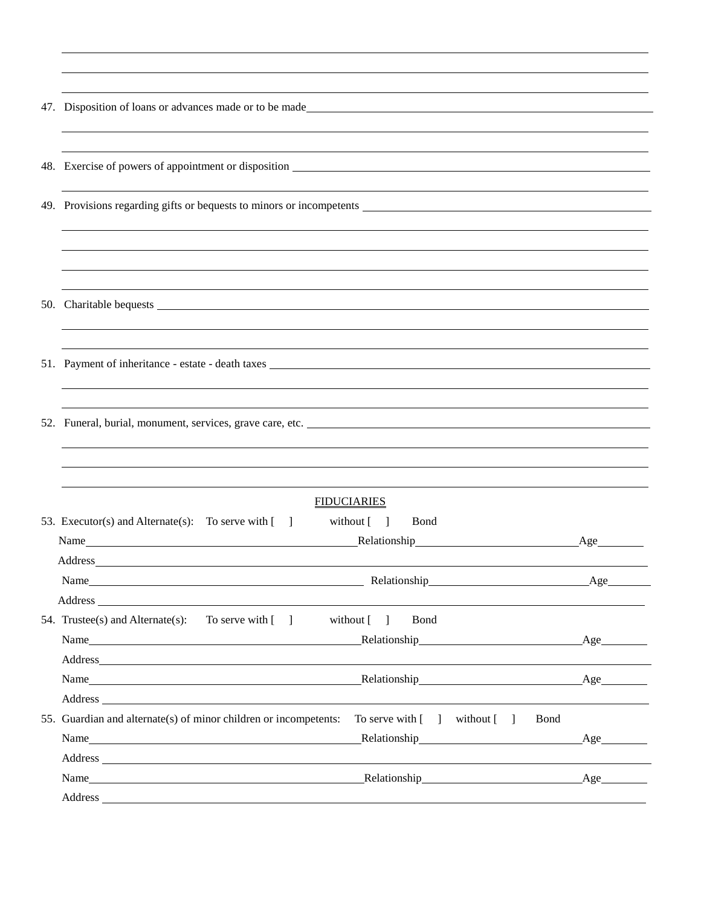| 47. Disposition of loans or advances made or to be made                                                                                                                 |                                                                                                                                                                                                                                                                   |     |  |
|-------------------------------------------------------------------------------------------------------------------------------------------------------------------------|-------------------------------------------------------------------------------------------------------------------------------------------------------------------------------------------------------------------------------------------------------------------|-----|--|
|                                                                                                                                                                         |                                                                                                                                                                                                                                                                   |     |  |
|                                                                                                                                                                         |                                                                                                                                                                                                                                                                   |     |  |
|                                                                                                                                                                         |                                                                                                                                                                                                                                                                   |     |  |
|                                                                                                                                                                         | ,我们也不会有什么。""我们的人,我们也不会有什么?""我们的人,我们也不会有什么?""我们的人,我们也不会有什么?""我们的人,我们也不会有什么?""我们的人                                                                                                                                                                                  |     |  |
|                                                                                                                                                                         |                                                                                                                                                                                                                                                                   |     |  |
|                                                                                                                                                                         |                                                                                                                                                                                                                                                                   |     |  |
|                                                                                                                                                                         |                                                                                                                                                                                                                                                                   |     |  |
|                                                                                                                                                                         |                                                                                                                                                                                                                                                                   |     |  |
|                                                                                                                                                                         |                                                                                                                                                                                                                                                                   |     |  |
|                                                                                                                                                                         |                                                                                                                                                                                                                                                                   |     |  |
|                                                                                                                                                                         |                                                                                                                                                                                                                                                                   |     |  |
|                                                                                                                                                                         |                                                                                                                                                                                                                                                                   |     |  |
|                                                                                                                                                                         | 51. Payment of inheritance - estate - death taxes                                                                                                                                                                                                                 |     |  |
|                                                                                                                                                                         |                                                                                                                                                                                                                                                                   |     |  |
|                                                                                                                                                                         |                                                                                                                                                                                                                                                                   |     |  |
|                                                                                                                                                                         |                                                                                                                                                                                                                                                                   |     |  |
|                                                                                                                                                                         |                                                                                                                                                                                                                                                                   |     |  |
|                                                                                                                                                                         |                                                                                                                                                                                                                                                                   |     |  |
|                                                                                                                                                                         |                                                                                                                                                                                                                                                                   |     |  |
|                                                                                                                                                                         | <b>FIDUCIARIES</b>                                                                                                                                                                                                                                                |     |  |
|                                                                                                                                                                         | 53. Executor(s) and Alternate(s): To serve with [ ] without [ ] Bond                                                                                                                                                                                              |     |  |
|                                                                                                                                                                         |                                                                                                                                                                                                                                                                   |     |  |
|                                                                                                                                                                         |                                                                                                                                                                                                                                                                   |     |  |
|                                                                                                                                                                         | Name<br>Relationship_                                                                                                                                                                                                                                             | Age |  |
|                                                                                                                                                                         |                                                                                                                                                                                                                                                                   |     |  |
|                                                                                                                                                                         | 54. Trustee(s) and Alternate(s): To serve with $\lceil \quad \rceil$<br>without $\begin{bmatrix} 1 \end{bmatrix}$<br><b>B</b> ond                                                                                                                                 |     |  |
|                                                                                                                                                                         | Name                                                                                                                                                                                                                                                              |     |  |
|                                                                                                                                                                         |                                                                                                                                                                                                                                                                   |     |  |
|                                                                                                                                                                         | Name  Mame  Mame  Mame  Mame  Mame  Mame  Mame  Mame  Mame  Mame  Mame  Mame  Mame  Mame  Mame  Mame  Mame  Mame  Mame  Mame  Mame  Mame $\frac{1}{2}$ $\frac{1}{2}$ $\frac{1}{2}$ $\frac{1}{2}$ $\frac{1}{2}$ $\frac{1}{2}$ $\frac{1}{2}$ $\frac{1}{2}$ $\frac{$ |     |  |
|                                                                                                                                                                         | Bond                                                                                                                                                                                                                                                              |     |  |
| 55. Guardian and alternate(s) of minor children or incompetents:<br>To serve with $\begin{bmatrix} 1 \\ 1 \end{bmatrix}$ without $\begin{bmatrix} 1 \\ 1 \end{bmatrix}$ |                                                                                                                                                                                                                                                                   |     |  |
|                                                                                                                                                                         | Relationship<br><u>Relationship</u><br>Name                                                                                                                                                                                                                       | Age |  |
|                                                                                                                                                                         |                                                                                                                                                                                                                                                                   |     |  |
|                                                                                                                                                                         | Name                                                                                                                                                                                                                                                              |     |  |
|                                                                                                                                                                         |                                                                                                                                                                                                                                                                   |     |  |

l